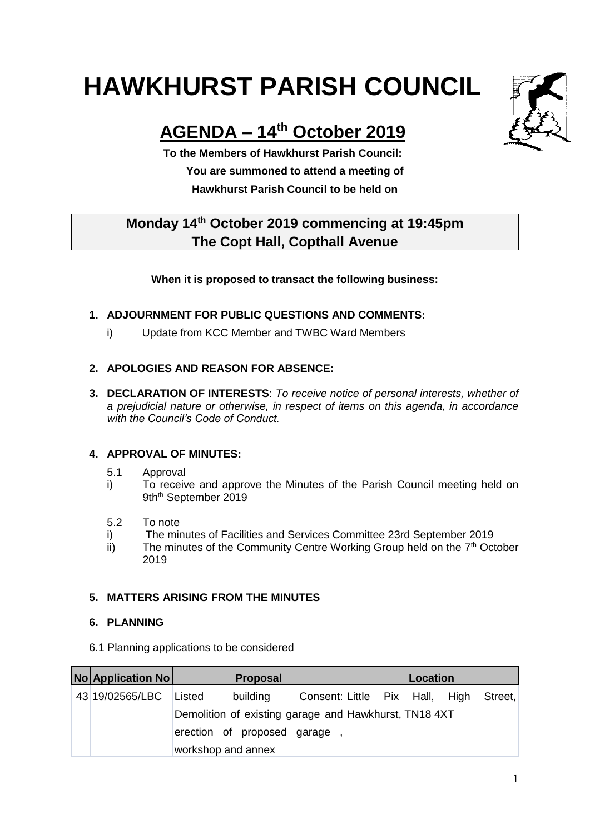# **HAWKHURST PARISH COUNCIL**

## **AGENDA – 14th October 2019**

**To the Members of Hawkhurst Parish Council: You are summoned to attend a meeting of Hawkhurst Parish Council to be held on**

### **Monday 14th October 2019 commencing at 19:45pm The Copt Hall, Copthall Avenue**

#### **When it is proposed to transact the following business:**

#### **1. ADJOURNMENT FOR PUBLIC QUESTIONS AND COMMENTS:**

i) Update from KCC Member and TWBC Ward Members

#### **2. APOLOGIES AND REASON FOR ABSENCE:**

**3. DECLARATION OF INTERESTS**: *To receive notice of personal interests, whether of a prejudicial nature or otherwise, in respect of items on this agenda, in accordance with the Council's Code of Conduct.*

#### **4. APPROVAL OF MINUTES:**

- 5.1 Approval
- i) To receive and approve the Minutes of the Parish Council meeting held on 9th<sup>th</sup> September 2019
- 5.2 To note
- i) The minutes of Facilities and Services Committee 23rd September 2019
- ii) The minutes of the Community Centre Working Group held on the  $7<sup>th</sup>$  October 2019

#### **5. MATTERS ARISING FROM THE MINUTES**

#### **6. PLANNING**

6.1 Planning applications to be considered

| No Application No | <b>Proposal</b>                                       |                             |                                        | Location |  |  |
|-------------------|-------------------------------------------------------|-----------------------------|----------------------------------------|----------|--|--|
| 43 19/02565/LBC   | Listed                                                | building                    | Consent: Little Pix Hall, High Street, |          |  |  |
|                   | Demolition of existing garage and Hawkhurst, TN18 4XT |                             |                                        |          |  |  |
|                   |                                                       | erection of proposed garage |                                        |          |  |  |
|                   | workshop and annex                                    |                             |                                        |          |  |  |

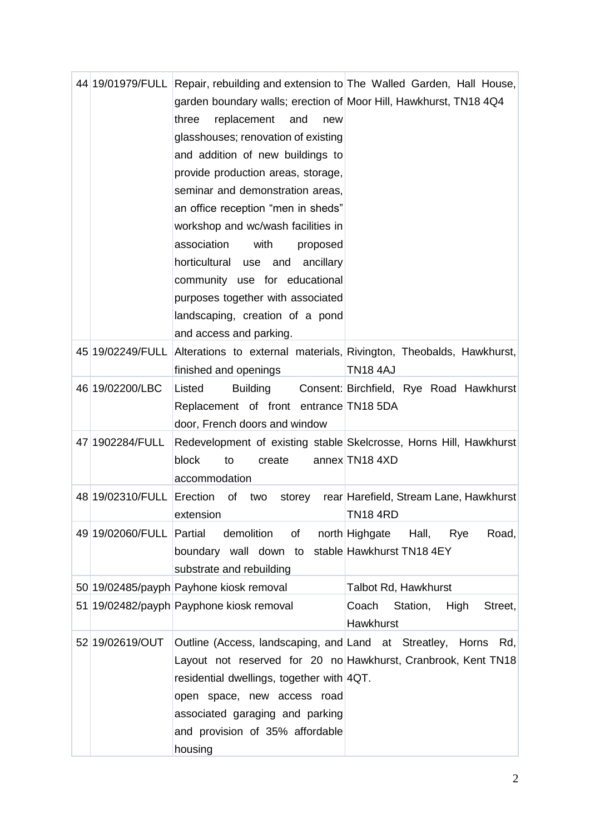|                           | 44 19/01979/FULL Repair, rebuilding and extension to The Walled Garden, Hall House, |                                                                                      |
|---------------------------|-------------------------------------------------------------------------------------|--------------------------------------------------------------------------------------|
|                           | garden boundary walls; erection of Moor Hill, Hawkhurst, TN18 4Q4                   |                                                                                      |
|                           | replacement<br>and<br>three<br>new                                                  |                                                                                      |
|                           | glasshouses; renovation of existing                                                 |                                                                                      |
|                           | and addition of new buildings to                                                    |                                                                                      |
|                           | provide production areas, storage,                                                  |                                                                                      |
|                           | seminar and demonstration areas,                                                    |                                                                                      |
|                           | an office reception "men in sheds"                                                  |                                                                                      |
|                           | workshop and wc/wash facilities in                                                  |                                                                                      |
|                           | association<br>with<br>proposed                                                     |                                                                                      |
|                           | horticultural use and<br>ancillary                                                  |                                                                                      |
|                           | community use for educational                                                       |                                                                                      |
|                           | purposes together with associated                                                   |                                                                                      |
|                           | landscaping, creation of a pond                                                     |                                                                                      |
|                           | and access and parking.                                                             |                                                                                      |
|                           |                                                                                     | 45 19/02249/FULL Alterations to external materials, Rivington, Theobalds, Hawkhurst, |
|                           | finished and openings                                                               | <b>TN18 4AJ</b>                                                                      |
| 46 19/02200/LBC           | Listed<br><b>Building</b>                                                           | Consent: Birchfield, Rye Road Hawkhurst                                              |
|                           | Replacement of front entrance TN18 5DA                                              |                                                                                      |
|                           | door, French doors and window                                                       |                                                                                      |
| 47 1902284/FULL           |                                                                                     | Redevelopment of existing stable Skelcrosse, Horns Hill, Hawkhurst                   |
|                           | block<br>to<br>create                                                               | annex TN18 4XD                                                                       |
|                           | accommodation                                                                       |                                                                                      |
| 48 19/02310/FULL Erection | storey<br>of<br>two                                                                 | rear Harefield, Stream Lane, Hawkhurst                                               |
|                           | extension                                                                           | <b>TN18 4RD</b>                                                                      |
| 49 19/02060/FULL Partial  | demolition<br>of                                                                    | Road,<br>north Highgate<br>Hall,<br>Rye                                              |
|                           | boundary wall down to stable Hawkhurst TN184EY                                      |                                                                                      |
|                           | substrate and rebuilding                                                            |                                                                                      |
|                           | 50 19/02485/payph Payhone kiosk removal                                             | Talbot Rd, Hawkhurst                                                                 |
|                           | 51 19/02482/payph Payphone kiosk removal                                            | Coach<br>Station,<br>High<br>Street,                                                 |
|                           |                                                                                     | Hawkhurst                                                                            |
| 52 19/02619/OUT           | Outline (Access, landscaping, and Land at Streatley, Horns                          | Rd,                                                                                  |
|                           |                                                                                     | Layout not reserved for 20 no Hawkhurst, Cranbrook, Kent TN18                        |
|                           | residential dwellings, together with 4QT.                                           |                                                                                      |
|                           | open space, new access road                                                         |                                                                                      |
|                           | associated garaging and parking                                                     |                                                                                      |
|                           | and provision of 35% affordable                                                     |                                                                                      |
|                           | housing                                                                             |                                                                                      |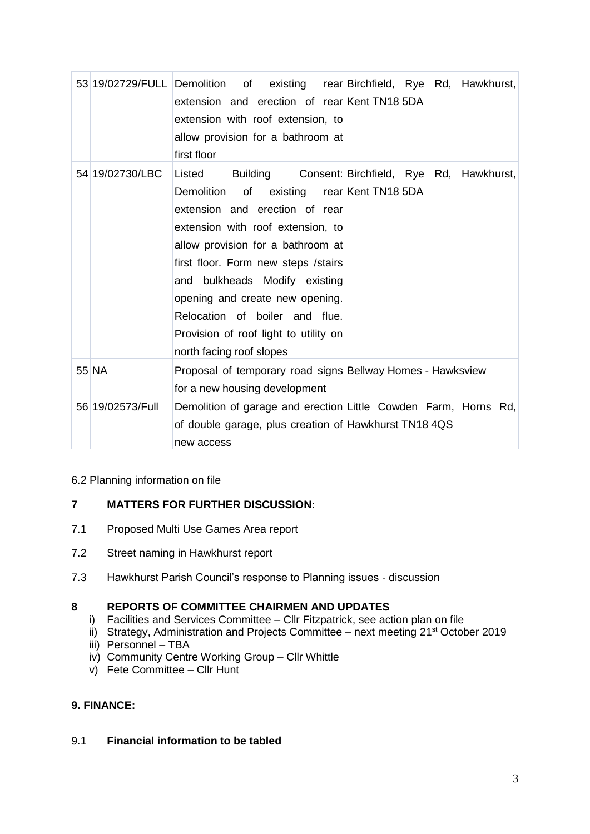|                  | extension and erection of rear Kent TN18 5DA<br>extension with roof extension, to<br>allow provision for a bathroom at<br>first floor                                                                                                                                                                                                                  | 53 19/02729/FULL Demolition of existing rear Birchfield, Rye Rd, Hawkhurst,     |
|------------------|--------------------------------------------------------------------------------------------------------------------------------------------------------------------------------------------------------------------------------------------------------------------------------------------------------------------------------------------------------|---------------------------------------------------------------------------------|
| 54 19/02730/LBC  | Listed<br>Demolition of<br>extension and erection of rear<br>extension with roof extension, to<br>allow provision for a bathroom at<br>first floor. Form new steps / stairs<br>and bulkheads Modify existing<br>opening and create new opening.<br>Relocation of boiler and flue.<br>Provision of roof light to utility on<br>north facing roof slopes | Building Consent: Birchfield, Rye Rd, Hawkhurst,<br>existing rear Kent TN18 5DA |
| 55 NA            | Proposal of temporary road signs Bellway Homes - Hawksview<br>for a new housing development                                                                                                                                                                                                                                                            |                                                                                 |
| 56 19/02573/Full | of double garage, plus creation of Hawkhurst TN18 4QS<br>new access                                                                                                                                                                                                                                                                                    | Demolition of garage and erection Little Cowden Farm, Horns Rd,                 |

#### 6.2 Planning information on file

#### **7 MATTERS FOR FURTHER DISCUSSION:**

- 7.1 Proposed Multi Use Games Area report
- 7.2 Street naming in Hawkhurst report
- 7.3 Hawkhurst Parish Council's response to Planning issues discussion

#### **8 REPORTS OF COMMITTEE CHAIRMEN AND UPDATES**

- i) Facilities and Services Committee Cllr Fitzpatrick, see action plan on file
- ii) Strategy, Administration and Projects Committee next meeting 21<sup>st</sup> October 2019
- iii) Personnel TBA
- iv) Community Centre Working Group Cllr Whittle
- v) Fete Committee Cllr Hunt

#### **9. FINANCE:**

#### 9.1 **Financial information to be tabled**